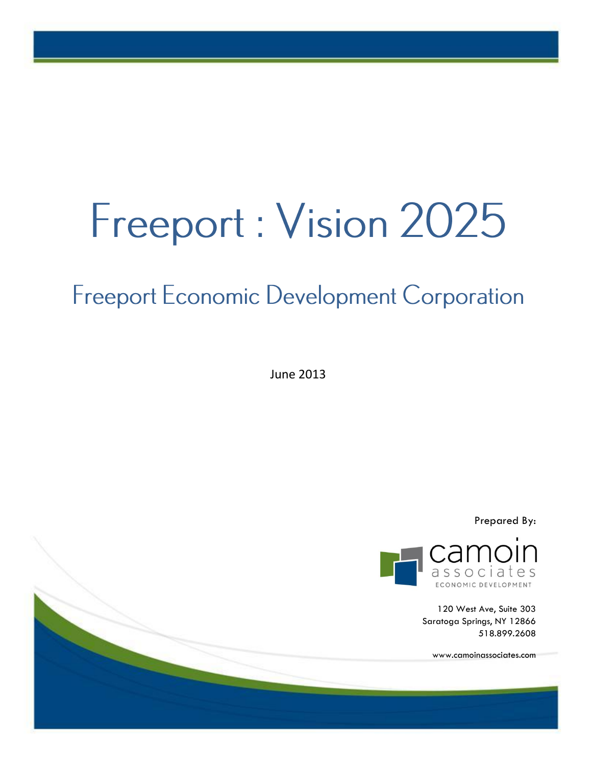# Freeport: Vision 2025

# **Freeport Economic Development Corporation**

June 2013



120 West Ave, Suite 303 Saratoga Springs, NY 12866 518.899.2608

www.camoinassociates.com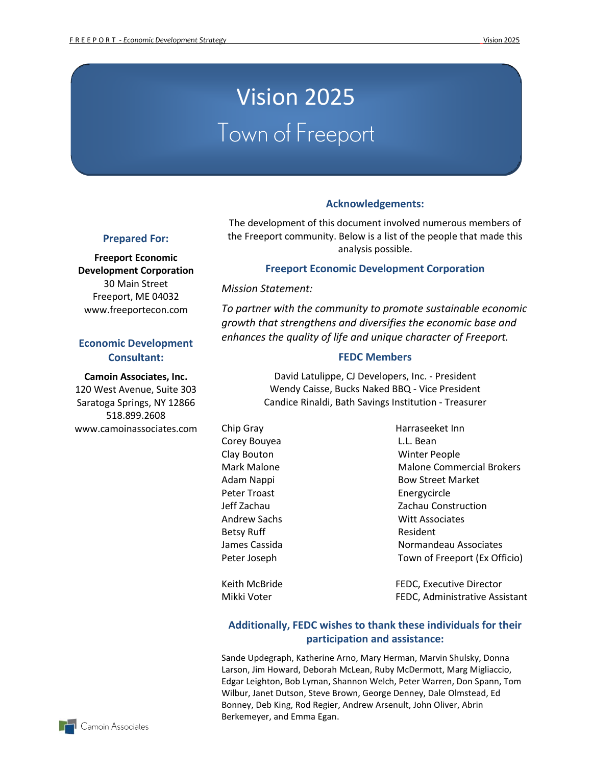# Vision 2025 Town of Freeport

#### **Acknowledgements:**

The development of this document involved numerous members of the Freeport community. Below is a list of the people that made this analysis possible.

#### **Prepared For:**

**Freeport Economic Development Corporation** 30 Main Street Freeport, ME 04032 www.freeportecon.com

#### **Economic Development Consultant:**

**Camoin Associates, Inc.**

120 West Avenue, Suite 303 Saratoga Springs, NY 12866 518.899.2608 www.camoinassociates.com

#### **Freeport Economic Development Corporation**

*Mission Statement:* 

*To partner with the community to promote sustainable economic growth that strengthens and diversifies the economic base and enhances the quality of life and unique character of Freeport.*

#### **FEDC Members**

David Latulippe, CJ Developers, Inc. - President Wendy Caisse, Bucks Naked BBQ - Vice President Candice Rinaldi, Bath Savings Institution - Treasurer

Corey Bouyea L.L. Bean Peter Troast Energycircle Betsy Ruff **Resident** Resident

Chip Gray Harraseeket Inn Clay Bouton Winter People Mark Malone Malone Commercial Brokers Adam Nappi **Bow Street Market** Jeff Zachau Zachau Construction Andrew Sachs Witt Associates James Cassida Normandeau Associates Peter Joseph Town of Freeport (Ex Officio)

Keith McBride **FEDC**, Executive Director Mikki Voter **FEDC**, Administrative Assistant

#### **Additionally, FEDC wishes to thank these individuals for their participation and assistance:**

Sande Updegraph, Katherine Arno, Mary Herman, Marvin Shulsky, Donna Larson, Jim Howard, Deborah McLean, Ruby McDermott, Marg Migliaccio, Edgar Leighton, Bob Lyman, Shannon Welch, Peter Warren, Don Spann, Tom Wilbur, Janet Dutson, Steve Brown, George Denney, Dale Olmstead, Ed Bonney, Deb King, Rod Regier, Andrew Arsenult, John Oliver, Abrin Berkemeyer, and Emma Egan.

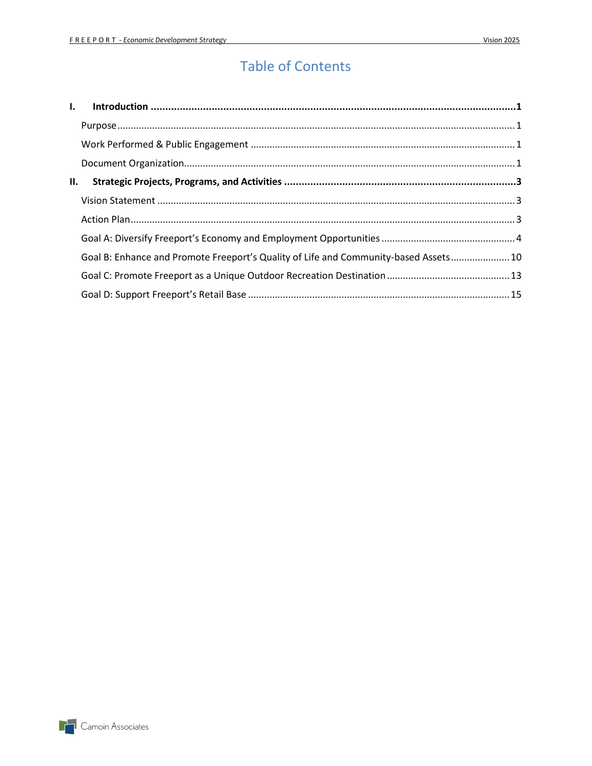# **Table of Contents**

| II. |                                                                                      |  |
|-----|--------------------------------------------------------------------------------------|--|
|     |                                                                                      |  |
|     |                                                                                      |  |
|     |                                                                                      |  |
|     | Goal B: Enhance and Promote Freeport's Quality of Life and Community-based Assets 10 |  |
|     |                                                                                      |  |
|     |                                                                                      |  |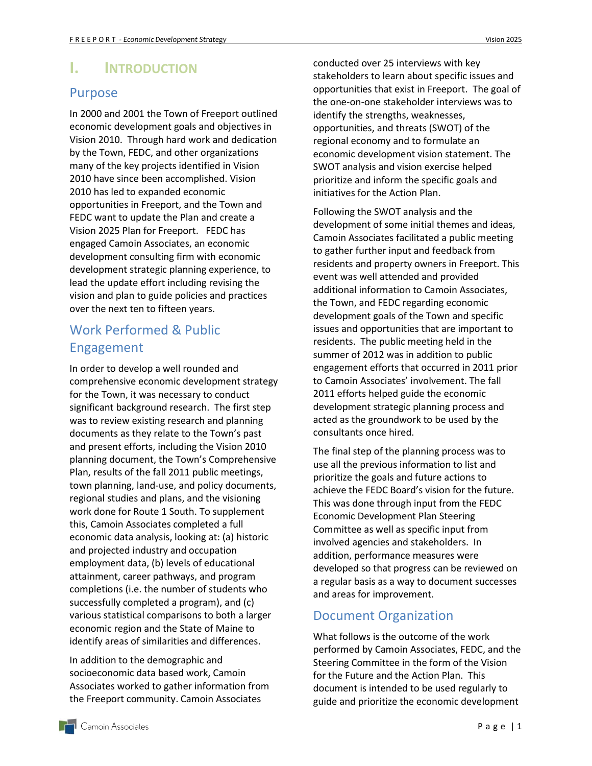# <span id="page-3-0"></span>**I. INTRODUCTION**

#### <span id="page-3-1"></span>Purpose

In 2000 and 2001 the Town of Freeport outlined economic development goals and objectives in Vision 2010. Through hard work and dedication by the Town, FEDC, and other organizations many of the key projects identified in Vision 2010 have since been accomplished. Vision 2010 has led to expanded economic opportunities in Freeport, and the Town and FEDC want to update the Plan and create a Vision 2025 Plan for Freeport. FEDC has engaged Camoin Associates, an economic development consulting firm with economic development strategic planning experience, to lead the update effort including revising the vision and plan to guide policies and practices over the next ten to fifteen years.

# <span id="page-3-2"></span>Work Performed & Public Engagement

In order to develop a well rounded and comprehensive economic development strategy for the Town, it was necessary to conduct significant background research. The first step was to review existing research and planning documents as they relate to the Town's past and present efforts, including the Vision 2010 planning document, the Town's Comprehensive Plan, results of the fall 2011 public meetings, town planning, land-use, and policy documents, regional studies and plans, and the visioning work done for Route 1 South. To supplement this, Camoin Associates completed a full economic data analysis, looking at: (a) historic and projected industry and occupation employment data, (b) levels of educational attainment, career pathways, and program completions (i.e. the number of students who successfully completed a program), and (c) various statistical comparisons to both a larger economic region and the State of Maine to identify areas of similarities and differences.

In addition to the demographic and socioeconomic data based work, Camoin Associates worked to gather information from the Freeport community. Camoin Associates

conducted over 25 interviews with key stakeholders to learn about specific issues and opportunities that exist in Freeport. The goal of the one-on-one stakeholder interviews was to identify the strengths, weaknesses, opportunities, and threats (SWOT) of the regional economy and to formulate an economic development vision statement. The SWOT analysis and vision exercise helped prioritize and inform the specific goals and initiatives for the Action Plan.

Following the SWOT analysis and the development of some initial themes and ideas, Camoin Associates facilitated a public meeting to gather further input and feedback from residents and property owners in Freeport. This event was well attended and provided additional information to Camoin Associates, the Town, and FEDC regarding economic development goals of the Town and specific issues and opportunities that are important to residents. The public meeting held in the summer of 2012 was in addition to public engagement efforts that occurred in 2011 prior to Camoin Associates' involvement. The fall 2011 efforts helped guide the economic development strategic planning process and acted as the groundwork to be used by the consultants once hired.

The final step of the planning process was to use all the previous information to list and prioritize the goals and future actions to achieve the FEDC Board's vision for the future. This was done through input from the FEDC Economic Development Plan Steering Committee as well as specific input from involved agencies and stakeholders. In addition, performance measures were developed so that progress can be reviewed on a regular basis as a way to document successes and areas for improvement.

### <span id="page-3-3"></span>Document Organization

What follows is the outcome of the work performed by Camoin Associates, FEDC, and the Steering Committee in the form of the Vision for the Future and the Action Plan. This document is intended to be used regularly to guide and prioritize the economic development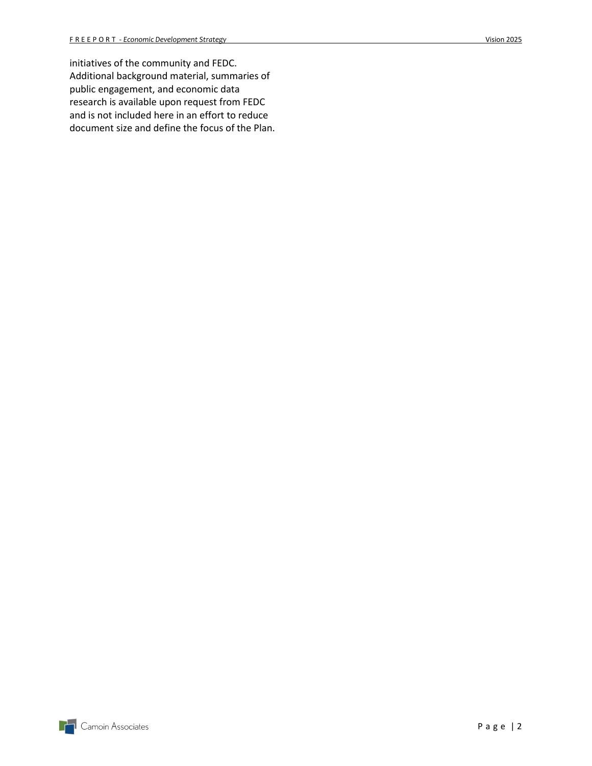initiatives of the community and FEDC. Additional background material, summaries of public engagement, and economic data research is available upon request from FEDC and is not included here in an effort to reduce document size and define the focus of the Plan.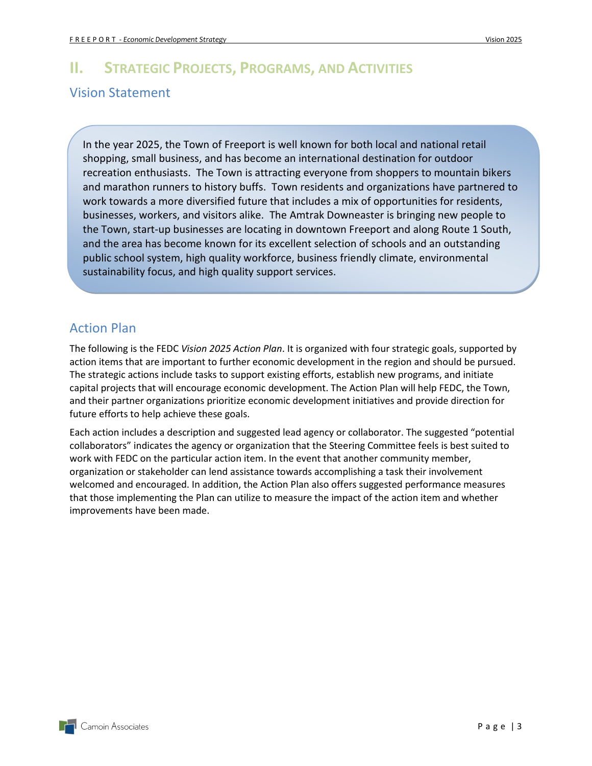# <span id="page-5-1"></span><span id="page-5-0"></span>**II. STRATEGIC PROJECTS, PROGRAMS, AND ACTIVITIES** Vision Statement

In the year 2025, the Town of Freeport is well known for both local and national retail shopping, small business, and has become an international destination for outdoor recreation enthusiasts. The Town is attracting everyone from shoppers to mountain bikers and marathon runners to history buffs. Town residents and organizations have partnered to work towards a more diversified future that includes a mix of opportunities for residents, businesses, workers, and visitors alike. The Amtrak Downeaster is bringing new people to the Town, start-up businesses are locating in downtown Freeport and along Route 1 South, and the area has become known for its excellent selection of schools and an outstanding public school system, high quality workforce, business friendly climate, environmental sustainability focus, and high quality support services.

# <span id="page-5-2"></span>Action Plan

The following is the FEDC *Vision 2025 Action Plan*. It is organized with four strategic goals, supported by action items that are important to further economic development in the region and should be pursued. The strategic actions include tasks to support existing efforts, establish new programs, and initiate capital projects that will encourage economic development. The Action Plan will help FEDC, the Town, and their partner organizations prioritize economic development initiatives and provide direction for future efforts to help achieve these goals.

Each action includes a description and suggested lead agency or collaborator. The suggested "potential collaborators" indicates the agency or organization that the Steering Committee feels is best suited to work with FEDC on the particular action item. In the event that another community member, organization or stakeholder can lend assistance towards accomplishing a task their involvement welcomed and encouraged. In addition, the Action Plan also offers suggested performance measures that those implementing the Plan can utilize to measure the impact of the action item and whether improvements have been made.

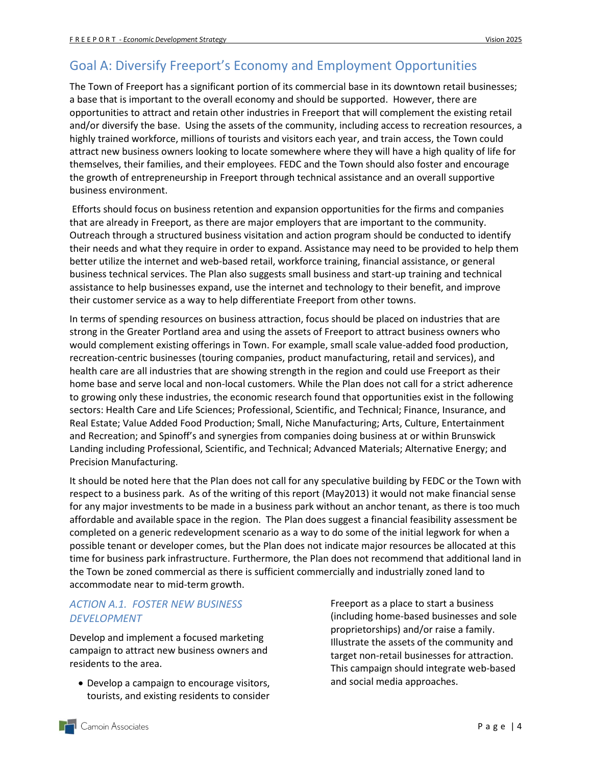## <span id="page-6-0"></span>Goal A: Diversify Freeport's Economy and Employment Opportunities

The Town of Freeport has a significant portion of its commercial base in its downtown retail businesses; a base that is important to the overall economy and should be supported. However, there are opportunities to attract and retain other industries in Freeport that will complement the existing retail and/or diversify the base. Using the assets of the community, including access to recreation resources, a highly trained workforce, millions of tourists and visitors each year, and train access, the Town could attract new business owners looking to locate somewhere where they will have a high quality of life for themselves, their families, and their employees. FEDC and the Town should also foster and encourage the growth of entrepreneurship in Freeport through technical assistance and an overall supportive business environment.

Efforts should focus on business retention and expansion opportunities for the firms and companies that are already in Freeport, as there are major employers that are important to the community. Outreach through a structured business visitation and action program should be conducted to identify their needs and what they require in order to expand. Assistance may need to be provided to help them better utilize the internet and web-based retail, workforce training, financial assistance, or general business technical services. The Plan also suggests small business and start-up training and technical assistance to help businesses expand, use the internet and technology to their benefit, and improve their customer service as a way to help differentiate Freeport from other towns.

In terms of spending resources on business attraction, focus should be placed on industries that are strong in the Greater Portland area and using the assets of Freeport to attract business owners who would complement existing offerings in Town. For example, small scale value-added food production, recreation-centric businesses (touring companies, product manufacturing, retail and services), and health care are all industries that are showing strength in the region and could use Freeport as their home base and serve local and non-local customers. While the Plan does not call for a strict adherence to growing only these industries, the economic research found that opportunities exist in the following sectors: Health Care and Life Sciences; Professional, Scientific, and Technical; Finance, Insurance, and Real Estate; Value Added Food Production; Small, Niche Manufacturing; Arts, Culture, Entertainment and Recreation; and Spinoff's and synergies from companies doing business at or within Brunswick Landing including Professional, Scientific, and Technical; Advanced Materials; Alternative Energy; and Precision Manufacturing.

It should be noted here that the Plan does not call for any speculative building by FEDC or the Town with respect to a business park. As of the writing of this report (May2013) it would not make financial sense for any major investments to be made in a business park without an anchor tenant, as there is too much affordable and available space in the region. The Plan does suggest a financial feasibility assessment be completed on a generic redevelopment scenario as a way to do some of the initial legwork for when a possible tenant or developer comes, but the Plan does not indicate major resources be allocated at this time for business park infrastructure. Furthermore, the Plan does not recommend that additional land in the Town be zoned commercial as there is sufficient commercially and industrially zoned land to accommodate near to mid-term growth.

#### *ACTION A.1. FOSTER NEW BUSINESS DEVELOPMENT*

Develop and implement a focused marketing campaign to attract new business owners and residents to the area.

 Develop a campaign to encourage visitors, tourists, and existing residents to consider Freeport as a place to start a business (including home-based businesses and sole proprietorships) and/or raise a family. Illustrate the assets of the community and target non-retail businesses for attraction. This campaign should integrate web-based and social media approaches.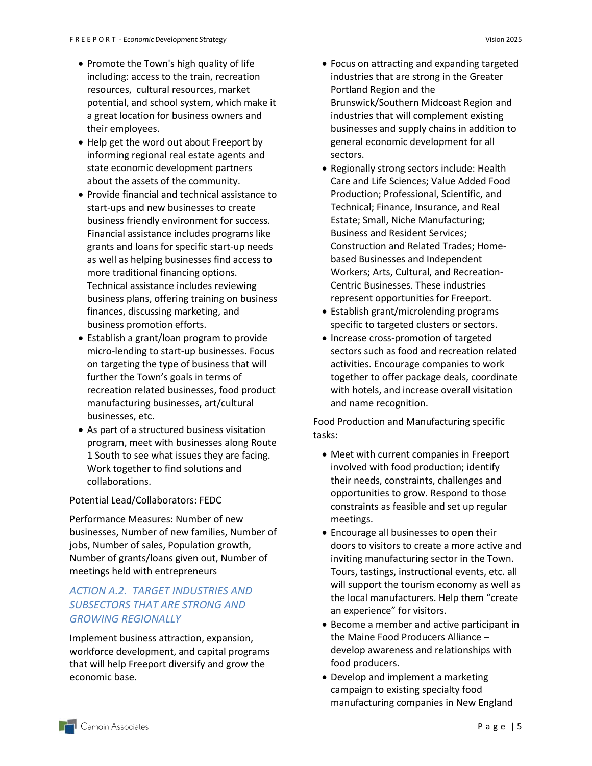- Promote the Town's high quality of life including: access to the train, recreation resources, cultural resources, market potential, and school system, which make it a great location for business owners and their employees.
- Help get the word out about Freeport by informing regional real estate agents and state economic development partners about the assets of the community.
- Provide financial and technical assistance to start-ups and new businesses to create business friendly environment for success. Financial assistance includes programs like grants and loans for specific start-up needs as well as helping businesses find access to more traditional financing options. Technical assistance includes reviewing business plans, offering training on business finances, discussing marketing, and business promotion efforts.
- Establish a grant/loan program to provide micro-lending to start-up businesses. Focus on targeting the type of business that will further the Town's goals in terms of recreation related businesses, food product manufacturing businesses, art/cultural businesses, etc.
- As part of a structured business visitation program, meet with businesses along Route 1 South to see what issues they are facing. Work together to find solutions and collaborations.

#### Potential Lead/Collaborators: FEDC

Performance Measures: Number of new businesses, Number of new families, Number of jobs, Number of sales, Population growth, Number of grants/loans given out, Number of meetings held with entrepreneurs

#### *ACTION A.2. TARGET INDUSTRIES AND SUBSECTORS THAT ARE STRONG AND GROWING REGIONALLY*

Implement business attraction, expansion, workforce development, and capital programs that will help Freeport diversify and grow the economic base.

- Focus on attracting and expanding targeted industries that are strong in the Greater Portland Region and the Brunswick/Southern Midcoast Region and industries that will complement existing businesses and supply chains in addition to general economic development for all sectors.
- Regionally strong sectors include: Health Care and Life Sciences; Value Added Food Production; Professional, Scientific, and Technical; Finance, Insurance, and Real Estate; Small, Niche Manufacturing; Business and Resident Services; Construction and Related Trades; Homebased Businesses and Independent Workers; Arts, Cultural, and Recreation-Centric Businesses. These industries represent opportunities for Freeport.
- Establish grant/microlending programs specific to targeted clusters or sectors.
- Increase cross-promotion of targeted sectors such as food and recreation related activities. Encourage companies to work together to offer package deals, coordinate with hotels, and increase overall visitation and name recognition.

Food Production and Manufacturing specific tasks:

- Meet with current companies in Freeport involved with food production; identify their needs, constraints, challenges and opportunities to grow. Respond to those constraints as feasible and set up regular meetings.
- Encourage all businesses to open their doors to visitors to create a more active and inviting manufacturing sector in the Town. Tours, tastings, instructional events, etc. all will support the tourism economy as well as the local manufacturers. Help them "create an experience" for visitors.
- Become a member and active participant in the Maine Food Producers Alliance – develop awareness and relationships with food producers.
- Develop and implement a marketing campaign to existing specialty food manufacturing companies in New England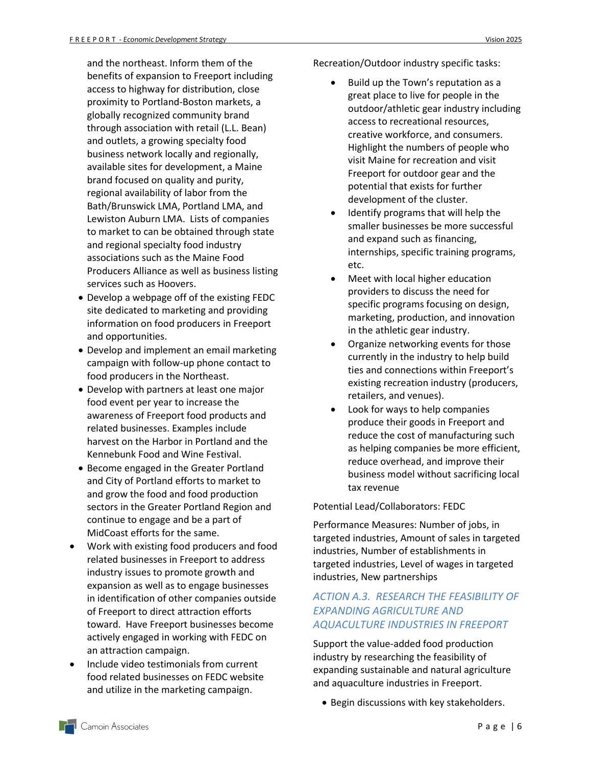and the northeast. Inform them of the benefits of expansion to Freeport including access to highway for distribution, close proximity to Portland-Boston markets, a globally recognized community brand through association with retail (L.L. Bean) and outlets, a growing specialty food business network locally and regionally, available sites for development, a Maine brand focused on quality and purity, regional availability of labor from the Bath/Brunswick LMA, Portland LMA, and Lewiston Auburn LMA. Lists of companies to market to can be obtained through state and regional specialty food industry associations such as the Maine Food Producers Alliance as well as business listing services such as Hoovers.

- Develop a webpage off of the existing FEDC site dedicated to marketing and providing information on food producers in Freeport and opportunities.
- Develop and implement an email marketing campaign with follow-up phone contact to food producers in the Northeast.
- Develop with partners at least one major food event per year to increase the awareness of Freeport food products and related businesses. Examples include harvest on the Harbor in Portland and the Kennebunk Food and Wine Festival.
- **Become engaged in the Greater Portland** and City of Portland efforts to market to and grow the food and food production sectors in the Greater Portland Region and continue to engage and be a part of MidCoast efforts for the same.
- Work with existing food producers and food related businesses in Freeport to address industry issues to promote growth and expansion as well as to engage businesses in identification of other companies outside of Freeport to direct attraction efforts toward. Have Freeport businesses become actively engaged in working with FEDC on an attraction campaign.
- Include video testimonials from current food related businesses on FEDC website and utilize in the marketing campaign.

Recreation/Outdoor industry specific tasks:

- Build up the Town's reputation as a great place to live for people in the outdoor/athletic gear industry including access to recreational resources, creative workforce, and consumers. Highlight the numbers of people who visit Maine for recreation and visit Freeport for outdoor gear and the potential that exists for further development of the cluster.
- Identify programs that will help the smaller businesses be more successful and expand such as financing, internships, specific training programs, etc.
- Meet with local higher education providers to discuss the need for specific programs focusing on design, marketing, production, and innovation in the athletic gear industry.
- Organize networking events for those currently in the industry to help build ties and connections within Freeport's existing recreation industry (producers, retailers, and venues).
- Look for ways to help companies produce their goods in Freeport and reduce the cost of manufacturing such as helping companies be more efficient, reduce overhead, and improve their business model without sacrificing local tax revenue

#### Potential Lead/Collaborators: FEDC

Performance Measures: Number of jobs, in targeted industries, Amount of sales in targeted industries, Number of establishments in targeted industries, Level of wages in targeted industries, New partnerships

#### *ACTION A.3. RESEARCH THE FEASIBILITY OF EXPANDING AGRICULTURE AND AQUACULTURE INDUSTRIES IN FREEPORT*

Support the value-added food production industry by researching the feasibility of expanding sustainable and natural agriculture and aquaculture industries in Freeport.

• Begin discussions with key stakeholders.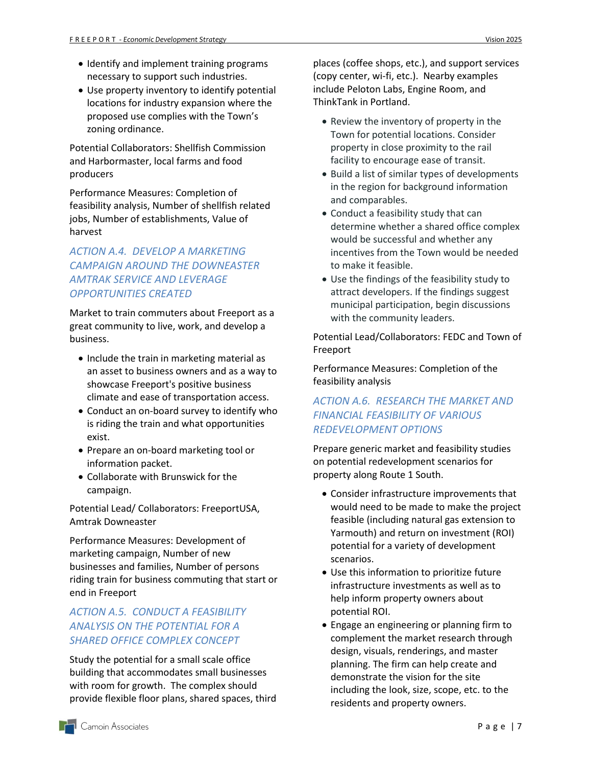- Identify and implement training programs necessary to support such industries.
- Use property inventory to identify potential locations for industry expansion where the proposed use complies with the Town's zoning ordinance.

Potential Collaborators: Shellfish Commission and Harbormaster, local farms and food producers

Performance Measures: Completion of feasibility analysis, Number of shellfish related jobs, Number of establishments, Value of harvest

#### *ACTION A.4. DEVELOP A MARKETING CAMPAIGN AROUND THE DOWNEASTER AMTRAK SERVICE AND LEVERAGE OPPORTUNITIES CREATED*

Market to train commuters about Freeport as a great community to live, work, and develop a business.

- Include the train in marketing material as an asset to business owners and as a way to showcase Freeport's positive business climate and ease of transportation access.
- Conduct an on-board survey to identify who is riding the train and what opportunities exist.
- Prepare an on-board marketing tool or information packet.
- Collaborate with Brunswick for the campaign.

Potential Lead/ Collaborators: FreeportUSA, Amtrak Downeaster

Performance Measures: Development of marketing campaign, Number of new businesses and families, Number of persons riding train for business commuting that start or end in Freeport

#### *ACTION A.5. CONDUCT A FEASIBILITY ANALYSIS ON THE POTENTIAL FOR A SHARED OFFICE COMPLEX CONCEPT*

Study the potential for a small scale office building that accommodates small businesses with room for growth. The complex should provide flexible floor plans, shared spaces, third

places (coffee shops, etc.), and support services (copy center, wi-fi, etc.). Nearby examples include Peloton Labs, Engine Room, and ThinkTank in Portland.

- Review the inventory of property in the Town for potential locations. Consider property in close proximity to the rail facility to encourage ease of transit.
- Build a list of similar types of developments in the region for background information and comparables.
- Conduct a feasibility study that can determine whether a shared office complex would be successful and whether any incentives from the Town would be needed to make it feasible.
- Use the findings of the feasibility study to attract developers. If the findings suggest municipal participation, begin discussions with the community leaders.

Potential Lead/Collaborators: FEDC and Town of Freeport

Performance Measures: Completion of the feasibility analysis

#### *ACTION A.6. RESEARCH THE MARKET AND FINANCIAL FEASIBILITY OF VARIOUS REDEVELOPMENT OPTIONS*

Prepare generic market and feasibility studies on potential redevelopment scenarios for property along Route 1 South.

- Consider infrastructure improvements that would need to be made to make the project feasible (including natural gas extension to Yarmouth) and return on investment (ROI) potential for a variety of development scenarios.
- Use this information to prioritize future infrastructure investments as well as to help inform property owners about potential ROI.
- Engage an engineering or planning firm to complement the market research through design, visuals, renderings, and master planning. The firm can help create and demonstrate the vision for the site including the look, size, scope, etc. to the residents and property owners.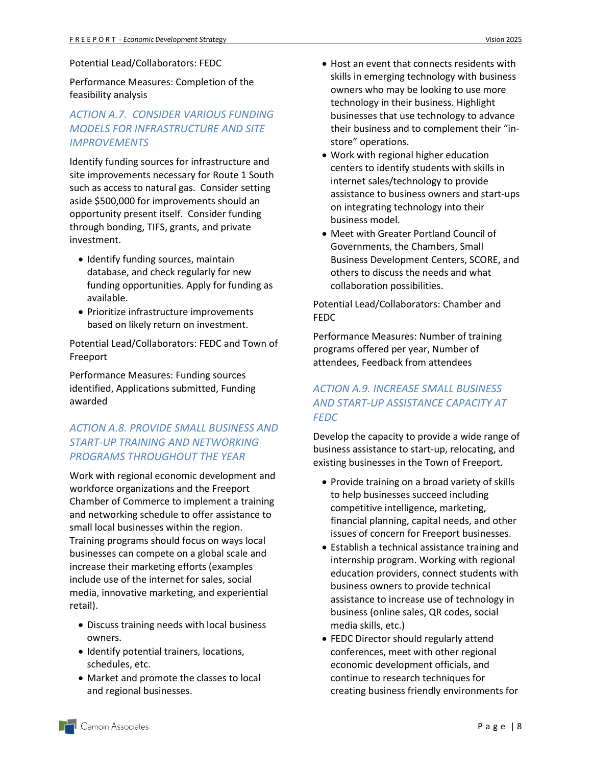#### Potential Lead/Collaborators: FEDC

Performance Measures: Completion of the feasibility analysis

#### *ACTION A.7. CONSIDER VARIOUS FUNDING MODELS FOR INFRASTRUCTURE AND SITE IMPROVEMENTS*

Identify funding sources for infrastructure and site improvements necessary for Route 1 South such as access to natural gas. Consider setting aside \$500,000 for improvements should an opportunity present itself. Consider funding through bonding, TIFS, grants, and private investment.

- Identify funding sources, maintain database, and check regularly for new funding opportunities. Apply for funding as available.
- Prioritize infrastructure improvements based on likely return on investment.

Potential Lead/Collaborators: FEDC and Town of Freeport

Performance Measures: Funding sources identified, Applications submitted, Funding awarded

#### *ACTION A.8. PROVIDE SMALL BUSINESS AND START-UP TRAINING AND NETWORKING PROGRAMS THROUGHOUT THE YEAR*

Work with regional economic development and workforce organizations and the Freeport Chamber of Commerce to implement a training and networking schedule to offer assistance to small local businesses within the region. Training programs should focus on ways local businesses can compete on a global scale and increase their marketing efforts (examples include use of the internet for sales, social media, innovative marketing, and experiential retail).

- Discuss training needs with local business owners.
- Identify potential trainers, locations, schedules, etc.
- Market and promote the classes to local and regional businesses.
- Host an event that connects residents with skills in emerging technology with business owners who may be looking to use more technology in their business. Highlight businesses that use technology to advance their business and to complement their "instore" operations.
- Work with regional higher education centers to identify students with skills in internet sales/technology to provide assistance to business owners and start-ups on integrating technology into their business model.
- Meet with Greater Portland Council of Governments, the Chambers, Small Business Development Centers, SCORE, and others to discuss the needs and what collaboration possibilities.

Potential Lead/Collaborators: Chamber and FEDC

Performance Measures: Number of training programs offered per year, Number of attendees, Feedback from attendees

#### *ACTION A.9. INCREASE SMALL BUSINESS AND START-UP ASSISTANCE CAPACITY AT FEDC*

Develop the capacity to provide a wide range of business assistance to start-up, relocating, and existing businesses in the Town of Freeport.

- Provide training on a broad variety of skills to help businesses succeed including competitive intelligence, marketing, financial planning, capital needs, and other issues of concern for Freeport businesses.
- Establish a technical assistance training and internship program. Working with regional education providers, connect students with business owners to provide technical assistance to increase use of technology in business (online sales, QR codes, social media skills, etc.)
- FEDC Director should regularly attend conferences, meet with other regional economic development officials, and continue to research techniques for creating business friendly environments for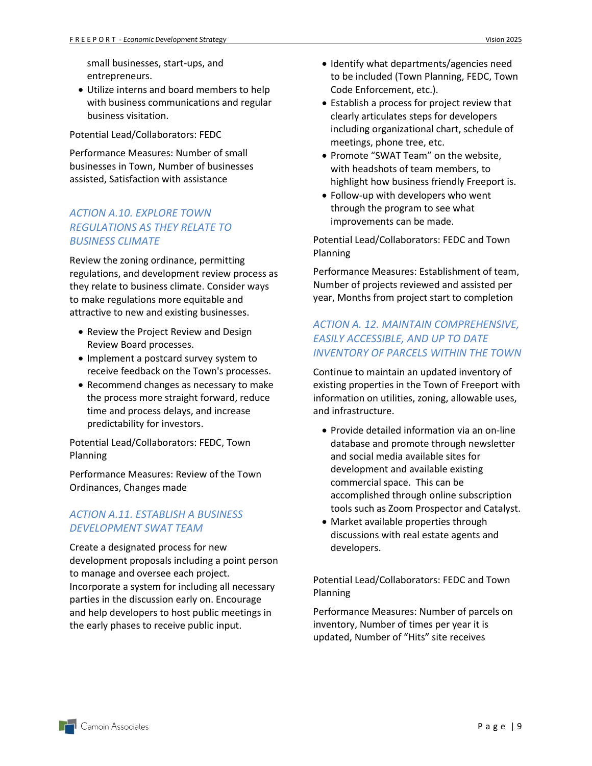small businesses, start-ups, and entrepreneurs.

 Utilize interns and board members to help with business communications and regular business visitation.

Potential Lead/Collaborators: FEDC

Performance Measures: Number of small businesses in Town, Number of businesses assisted, Satisfaction with assistance

#### *ACTION A.10. EXPLORE TOWN REGULATIONS AS THEY RELATE TO BUSINESS CLIMATE*

Review the zoning ordinance, permitting regulations, and development review process as they relate to business climate. Consider ways to make regulations more equitable and attractive to new and existing businesses.

- Review the Project Review and Design Review Board processes.
- Implement a postcard survey system to receive feedback on the Town's processes.
- Recommend changes as necessary to make the process more straight forward, reduce time and process delays, and increase predictability for investors.

Potential Lead/Collaborators: FEDC, Town Planning

Performance Measures: Review of the Town Ordinances, Changes made

#### *ACTION A.11. ESTABLISH A BUSINESS DEVELOPMENT SWAT TEAM*

Create a designated process for new development proposals including a point person to manage and oversee each project. Incorporate a system for including all necessary parties in the discussion early on. Encourage and help developers to host public meetings in the early phases to receive public input.

- Identify what departments/agencies need to be included (Town Planning, FEDC, Town Code Enforcement, etc.).
- Establish a process for project review that clearly articulates steps for developers including organizational chart, schedule of meetings, phone tree, etc.
- Promote "SWAT Team" on the website, with headshots of team members, to highlight how business friendly Freeport is.
- Follow-up with developers who went through the program to see what improvements can be made.

Potential Lead/Collaborators: FEDC and Town Planning

Performance Measures: Establishment of team, Number of projects reviewed and assisted per year, Months from project start to completion

#### *ACTION A. 12. MAINTAIN COMPREHENSIVE, EASILY ACCESSIBLE, AND UP TO DATE INVENTORY OF PARCELS WITHIN THE TOWN*

Continue to maintain an updated inventory of existing properties in the Town of Freeport with information on utilities, zoning, allowable uses, and infrastructure.

- Provide detailed information via an on-line database and promote through newsletter and social media available sites for development and available existing commercial space. This can be accomplished through online subscription tools such as Zoom Prospector and Catalyst.
- Market available properties through discussions with real estate agents and developers.

Potential Lead/Collaborators: FEDC and Town Planning

Performance Measures: Number of parcels on inventory, Number of times per year it is updated, Number of "Hits" site receives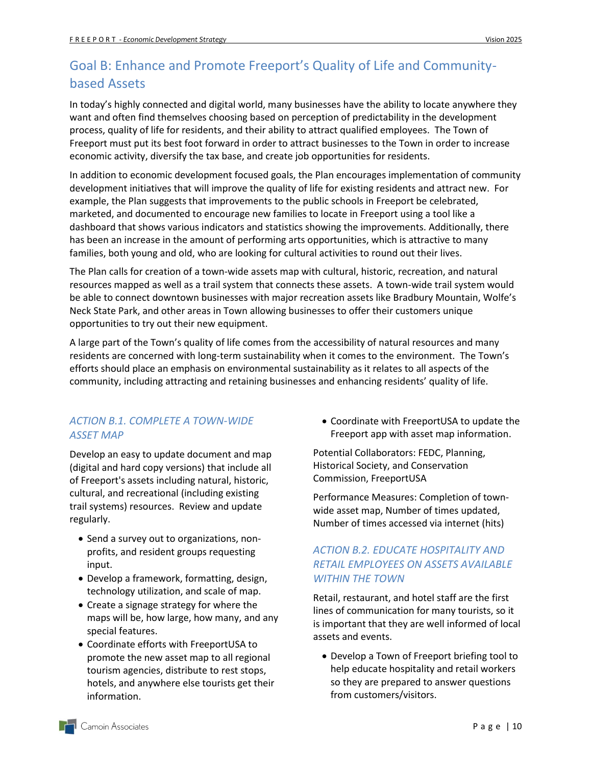# <span id="page-12-0"></span>Goal B: Enhance and Promote Freeport's Quality of Life and Communitybased Assets

In today's highly connected and digital world, many businesses have the ability to locate anywhere they want and often find themselves choosing based on perception of predictability in the development process, quality of life for residents, and their ability to attract qualified employees. The Town of Freeport must put its best foot forward in order to attract businesses to the Town in order to increase economic activity, diversify the tax base, and create job opportunities for residents.

In addition to economic development focused goals, the Plan encourages implementation of community development initiatives that will improve the quality of life for existing residents and attract new. For example, the Plan suggests that improvements to the public schools in Freeport be celebrated, marketed, and documented to encourage new families to locate in Freeport using a tool like a dashboard that shows various indicators and statistics showing the improvements. Additionally, there has been an increase in the amount of performing arts opportunities, which is attractive to many families, both young and old, who are looking for cultural activities to round out their lives.

The Plan calls for creation of a town-wide assets map with cultural, historic, recreation, and natural resources mapped as well as a trail system that connects these assets. A town-wide trail system would be able to connect downtown businesses with major recreation assets like Bradbury Mountain, Wolfe's Neck State Park, and other areas in Town allowing businesses to offer their customers unique opportunities to try out their new equipment.

A large part of the Town's quality of life comes from the accessibility of natural resources and many residents are concerned with long-term sustainability when it comes to the environment. The Town's efforts should place an emphasis on environmental sustainability as it relates to all aspects of the community, including attracting and retaining businesses and enhancing residents' quality of life.

#### *ACTION B.1. COMPLETE A TOWN-WIDE ASSET MAP*

Develop an easy to update document and map (digital and hard copy versions) that include all of Freeport's assets including natural, historic, cultural, and recreational (including existing trail systems) resources. Review and update regularly.

- Send a survey out to organizations, nonprofits, and resident groups requesting input.
- Develop a framework, formatting, design, technology utilization, and scale of map.
- Create a signage strategy for where the maps will be, how large, how many, and any special features.
- Coordinate efforts with FreeportUSA to promote the new asset map to all regional tourism agencies, distribute to rest stops, hotels, and anywhere else tourists get their information.

 Coordinate with FreeportUSA to update the Freeport app with asset map information.

Potential Collaborators: FEDC, Planning, Historical Society, and Conservation Commission, FreeportUSA

Performance Measures: Completion of townwide asset map, Number of times updated, Number of times accessed via internet (hits)

#### *ACTION B.2. EDUCATE HOSPITALITY AND RETAIL EMPLOYEES ON ASSETS AVAILABLE WITHIN THE TOWN*

Retail, restaurant, and hotel staff are the first lines of communication for many tourists, so it is important that they are well informed of local assets and events.

 Develop a Town of Freeport briefing tool to help educate hospitality and retail workers so they are prepared to answer questions from customers/visitors.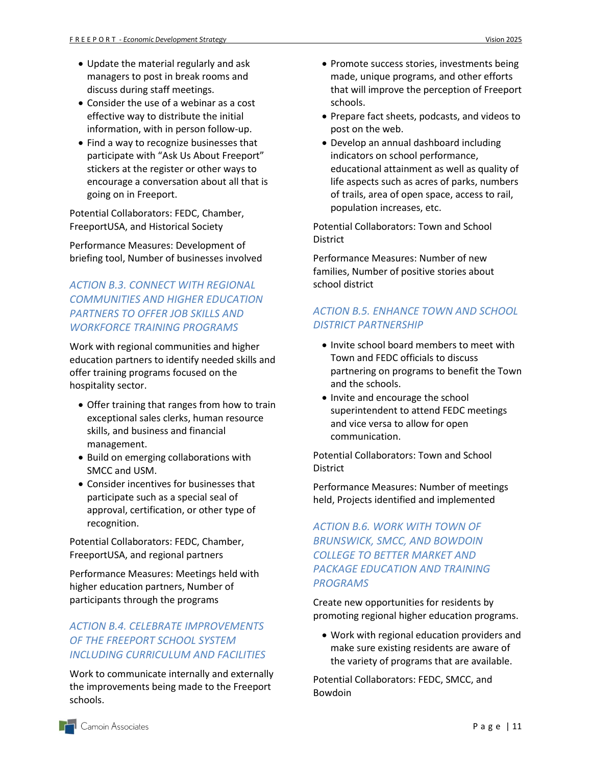- Update the material regularly and ask managers to post in break rooms and discuss during staff meetings.
- Consider the use of a webinar as a cost effective way to distribute the initial information, with in person follow-up.
- Find a way to recognize businesses that participate with "Ask Us About Freeport" stickers at the register or other ways to encourage a conversation about all that is going on in Freeport.

Potential Collaborators: FEDC, Chamber, FreeportUSA, and Historical Society

Performance Measures: Development of briefing tool, Number of businesses involved

#### *ACTION B.3. CONNECT WITH REGIONAL COMMUNITIES AND HIGHER EDUCATION PARTNERS TO OFFER JOB SKILLS AND WORKFORCE TRAINING PROGRAMS*

Work with regional communities and higher education partners to identify needed skills and offer training programs focused on the hospitality sector.

- Offer training that ranges from how to train exceptional sales clerks, human resource skills, and business and financial management.
- Build on emerging collaborations with SMCC and USM.
- Consider incentives for businesses that participate such as a special seal of approval, certification, or other type of recognition.

Potential Collaborators: FEDC, Chamber, FreeportUSA, and regional partners

Performance Measures: Meetings held with higher education partners, Number of participants through the programs

#### *ACTION B.4. CELEBRATE IMPROVEMENTS OF THE FREEPORT SCHOOL SYSTEM INCLUDING CURRICULUM AND FACILITIES*

Work to communicate internally and externally the improvements being made to the Freeport schools.

- Promote success stories, investments being made, unique programs, and other efforts that will improve the perception of Freeport schools.
- Prepare fact sheets, podcasts, and videos to post on the web.
- Develop an annual dashboard including indicators on school performance, educational attainment as well as quality of life aspects such as acres of parks, numbers of trails, area of open space, access to rail, population increases, etc.

Potential Collaborators: Town and School **District** 

Performance Measures: Number of new families, Number of positive stories about school district

#### *ACTION B.5. ENHANCE TOWN AND SCHOOL DISTRICT PARTNERSHIP*

- Invite school board members to meet with Town and FEDC officials to discuss partnering on programs to benefit the Town and the schools.
- Invite and encourage the school superintendent to attend FEDC meetings and vice versa to allow for open communication.

Potential Collaborators: Town and School **District** 

Performance Measures: Number of meetings held, Projects identified and implemented

#### *ACTION B.6. WORK WITH TOWN OF BRUNSWICK, SMCC, AND BOWDOIN COLLEGE TO BETTER MARKET AND PACKAGE EDUCATION AND TRAINING PROGRAMS*

Create new opportunities for residents by promoting regional higher education programs.

 Work with regional education providers and make sure existing residents are aware of the variety of programs that are available.

Potential Collaborators: FEDC, SMCC, and Bowdoin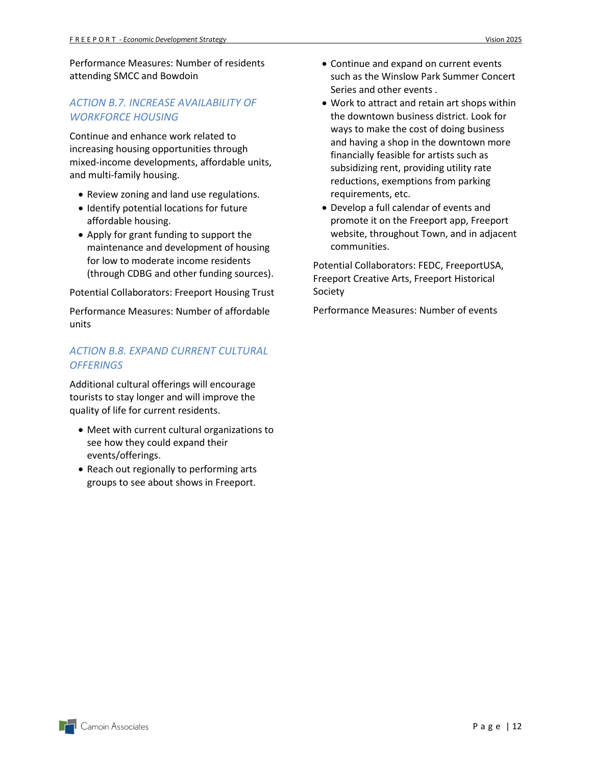Performance Measures: Number of residents attending SMCC and Bowdoin

#### *ACTION B.7. INCREASE AVAILABILITY OF WORKFORCE HOUSING*

Continue and enhance work related to increasing housing opportunities through mixed-income developments, affordable units, and multi-family housing.

- Review zoning and land use regulations.
- Identify potential locations for future affordable housing.
- Apply for grant funding to support the maintenance and development of housing for low to moderate income residents (through CDBG and other funding sources).

Potential Collaborators: Freeport Housing Trust

Performance Measures: Number of affordable units

#### *ACTION B.8. EXPAND CURRENT CULTURAL OFFERINGS*

Additional cultural offerings will encourage tourists to stay longer and will improve the quality of life for current residents.

- Meet with current cultural organizations to see how they could expand their events/offerings.
- Reach out regionally to performing arts groups to see about shows in Freeport.
- Continue and expand on current events such as the Winslow Park Summer Concert Series and other events .
- Work to attract and retain art shops within the downtown business district. Look for ways to make the cost of doing business and having a shop in the downtown more financially feasible for artists such as subsidizing rent, providing utility rate reductions, exemptions from parking requirements, etc.
- Develop a full calendar of events and promote it on the Freeport app, Freeport website, throughout Town, and in adjacent communities.

Potential Collaborators: FEDC, FreeportUSA, Freeport Creative Arts, Freeport Historical Society

Performance Measures: Number of events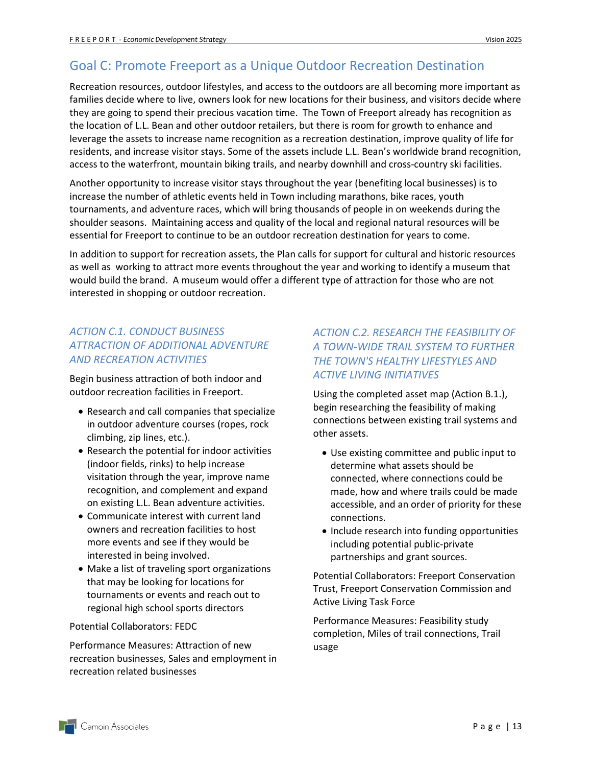## <span id="page-15-0"></span>Goal C: Promote Freeport as a Unique Outdoor Recreation Destination

Recreation resources, outdoor lifestyles, and access to the outdoors are all becoming more important as families decide where to live, owners look for new locations for their business, and visitors decide where they are going to spend their precious vacation time. The Town of Freeport already has recognition as the location of L.L. Bean and other outdoor retailers, but there is room for growth to enhance and leverage the assets to increase name recognition as a recreation destination, improve quality of life for residents, and increase visitor stays. Some of the assets include L.L. Bean's worldwide brand recognition, access to the waterfront, mountain biking trails, and nearby downhill and cross-country ski facilities.

Another opportunity to increase visitor stays throughout the year (benefiting local businesses) is to increase the number of athletic events held in Town including marathons, bike races, youth tournaments, and adventure races, which will bring thousands of people in on weekends during the shoulder seasons. Maintaining access and quality of the local and regional natural resources will be essential for Freeport to continue to be an outdoor recreation destination for years to come.

In addition to support for recreation assets, the Plan calls for support for cultural and historic resources as well as working to attract more events throughout the year and working to identify a museum that would build the brand. A museum would offer a different type of attraction for those who are not interested in shopping or outdoor recreation.

#### *ACTION C.1. CONDUCT BUSINESS ATTRACTION OF ADDITIONAL ADVENTURE AND RECREATION ACTIVITIES*

Begin business attraction of both indoor and outdoor recreation facilities in Freeport.

- Research and call companies that specialize in outdoor adventure courses (ropes, rock climbing, zip lines, etc.).
- Research the potential for indoor activities (indoor fields, rinks) to help increase visitation through the year, improve name recognition, and complement and expand on existing L.L. Bean adventure activities.
- Communicate interest with current land owners and recreation facilities to host more events and see if they would be interested in being involved.
- Make a list of traveling sport organizations that may be looking for locations for tournaments or events and reach out to regional high school sports directors

Potential Collaborators: FEDC

Performance Measures: Attraction of new recreation businesses, Sales and employment in recreation related businesses

#### *ACTION C.2. RESEARCH THE FEASIBILITY OF A TOWN-WIDE TRAIL SYSTEM TO FURTHER THE TOWN'S HEALTHY LIFESTYLES AND ACTIVE LIVING INITIATIVES*

Using the completed asset map (Action B.1.), begin researching the feasibility of making connections between existing trail systems and other assets.

- Use existing committee and public input to determine what assets should be connected, where connections could be made, how and where trails could be made accessible, and an order of priority for these connections.
- Include research into funding opportunities including potential public-private partnerships and grant sources.

Potential Collaborators: Freeport Conservation Trust, Freeport Conservation Commission and Active Living Task Force

Performance Measures: Feasibility study completion, Miles of trail connections, Trail usage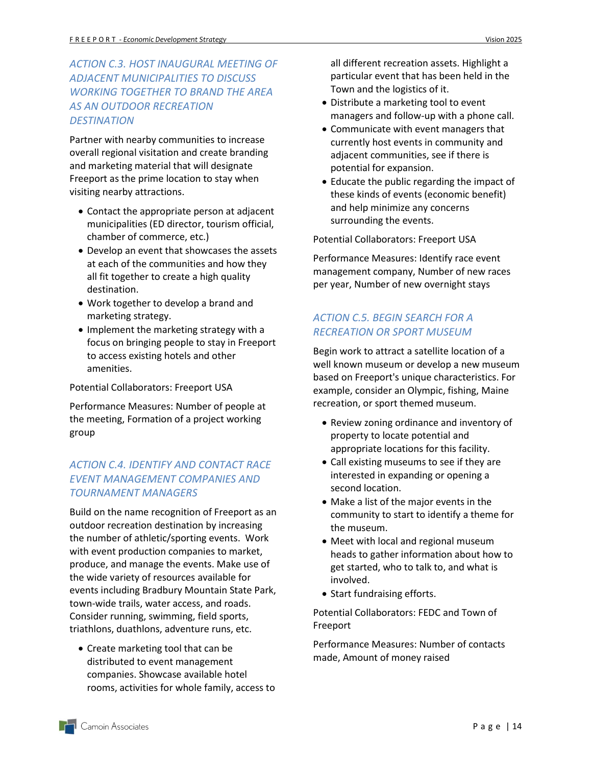#### *ACTION C.3. HOST INAUGURAL MEETING OF ADJACENT MUNICIPALITIES TO DISCUSS WORKING TOGETHER TO BRAND THE AREA AS AN OUTDOOR RECREATION DESTINATION*

Partner with nearby communities to increase overall regional visitation and create branding and marketing material that will designate Freeport as the prime location to stay when visiting nearby attractions.

- Contact the appropriate person at adjacent municipalities (ED director, tourism official, chamber of commerce, etc.)
- Develop an event that showcases the assets at each of the communities and how they all fit together to create a high quality destination.
- Work together to develop a brand and marketing strategy.
- Implement the marketing strategy with a focus on bringing people to stay in Freeport to access existing hotels and other amenities.

Potential Collaborators: Freeport USA

Performance Measures: Number of people at the meeting, Formation of a project working group

#### *ACTION C.4. IDENTIFY AND CONTACT RACE EVENT MANAGEMENT COMPANIES AND TOURNAMENT MANAGERS*

Build on the name recognition of Freeport as an outdoor recreation destination by increasing the number of athletic/sporting events. Work with event production companies to market, produce, and manage the events. Make use of the wide variety of resources available for events including Bradbury Mountain State Park, town-wide trails, water access, and roads. Consider running, swimming, field sports, triathlons, duathlons, adventure runs, etc.

 Create marketing tool that can be distributed to event management companies. Showcase available hotel rooms, activities for whole family, access to all different recreation assets. Highlight a particular event that has been held in the Town and the logistics of it.

- Distribute a marketing tool to event managers and follow-up with a phone call.
- Communicate with event managers that currently host events in community and adjacent communities, see if there is potential for expansion.
- Educate the public regarding the impact of these kinds of events (economic benefit) and help minimize any concerns surrounding the events.

Potential Collaborators: Freeport USA

Performance Measures: Identify race event management company, Number of new races per year, Number of new overnight stays

#### *ACTION C.5. BEGIN SEARCH FOR A RECREATION OR SPORT MUSEUM*

Begin work to attract a satellite location of a well known museum or develop a new museum based on Freeport's unique characteristics. For example, consider an Olympic, fishing, Maine recreation, or sport themed museum.

- Review zoning ordinance and inventory of property to locate potential and appropriate locations for this facility.
- Call existing museums to see if they are interested in expanding or opening a second location.
- Make a list of the major events in the community to start to identify a theme for the museum.
- Meet with local and regional museum heads to gather information about how to get started, who to talk to, and what is involved.
- Start fundraising efforts.

Potential Collaborators: FEDC and Town of Freeport

Performance Measures: Number of contacts made, Amount of money raised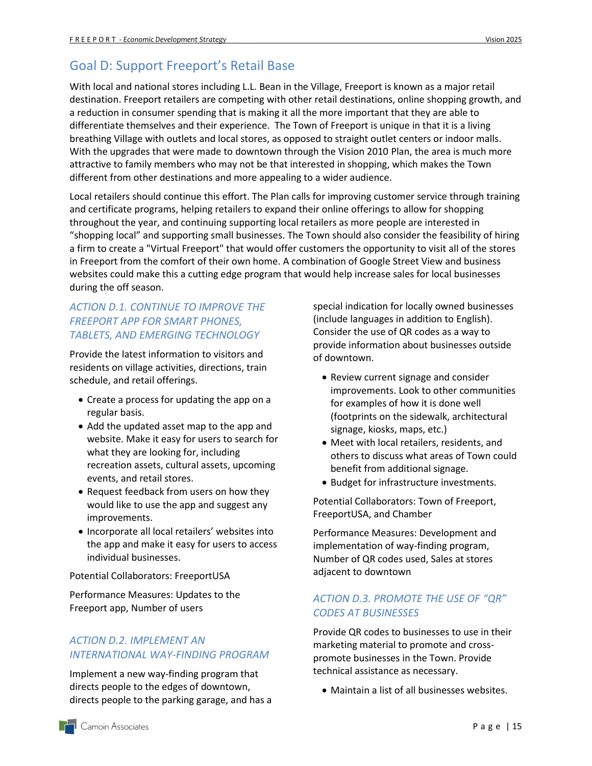# <span id="page-17-0"></span>Goal D: Support Freeport's Retail Base

With local and national stores including L.L. Bean in the Village, Freeport is known as a major retail destination. Freeport retailers are competing with other retail destinations, online shopping growth, and a reduction in consumer spending that is making it all the more important that they are able to differentiate themselves and their experience. The Town of Freeport is unique in that it is a living breathing Village with outlets and local stores, as opposed to straight outlet centers or indoor malls. With the upgrades that were made to downtown through the Vision 2010 Plan, the area is much more attractive to family members who may not be that interested in shopping, which makes the Town different from other destinations and more appealing to a wider audience.

Local retailers should continue this effort. The Plan calls for improving customer service through training and certificate programs, helping retailers to expand their online offerings to allow for shopping throughout the year, and continuing supporting local retailers as more people are interested in "shopping local" and supporting small businesses. The Town should also consider the feasibility of hiring a firm to create a "Virtual Freeport" that would offer customers the opportunity to visit all of the stores in Freeport from the comfort of their own home. A combination of Google Street View and business websites could make this a cutting edge program that would help increase sales for local businesses during the off season.

#### *ACTION D.1. CONTINUE TO IMPROVE THE FREEPORT APP FOR SMART PHONES, TABLETS, AND EMERGING TECHNOLOGY*

Provide the latest information to visitors and residents on village activities, directions, train schedule, and retail offerings.

- Create a process for updating the app on a regular basis.
- Add the updated asset map to the app and website. Make it easy for users to search for what they are looking for, including recreation assets, cultural assets, upcoming events, and retail stores.
- Request feedback from users on how they would like to use the app and suggest any improvements.
- Incorporate all local retailers' websites into the app and make it easy for users to access individual businesses.

Potential Collaborators: FreeportUSA

Performance Measures: Updates to the Freeport app, Number of users

#### *ACTION D.2. IMPLEMENT AN INTERNATIONAL WAY-FINDING PROGRAM*

Implement a new way-finding program that directs people to the edges of downtown, directs people to the parking garage, and has a special indication for locally owned businesses (include languages in addition to English). Consider the use of QR codes as a way to provide information about businesses outside of downtown.

- Review current signage and consider improvements. Look to other communities for examples of how it is done well (footprints on the sidewalk, architectural signage, kiosks, maps, etc.)
- Meet with local retailers, residents, and others to discuss what areas of Town could benefit from additional signage.
- Budget for infrastructure investments.

Potential Collaborators: Town of Freeport, FreeportUSA, and Chamber

Performance Measures: Development and implementation of way-finding program, Number of QR codes used, Sales at stores adjacent to downtown

#### *ACTION D.3. PROMOTE THE USE OF "QR" CODES AT BUSINESSES*

Provide QR codes to businesses to use in their marketing material to promote and crosspromote businesses in the Town. Provide technical assistance as necessary.

Maintain a list of all businesses websites.